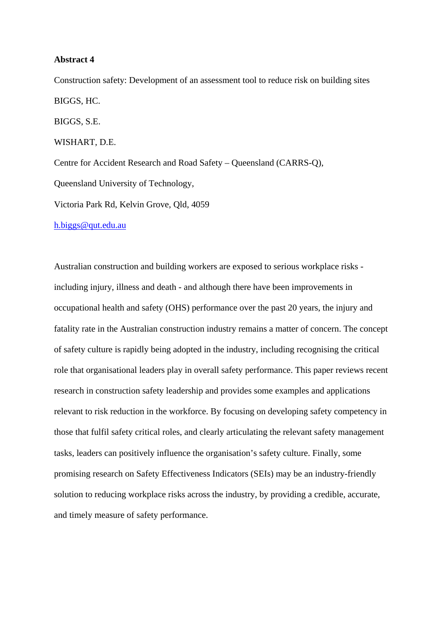#### **Abstract 4**

Construction safety: Development of an assessment tool to reduce risk on building sites BIGGS, HC. BIGGS, S.E. WISHART, D.E. Centre for Accident Research and Road Safety – Queensland (CARRS-Q), Queensland University of Technology, Victoria Park Rd, Kelvin Grove, Qld, 4059

h.biggs@qut.edu.au

Australian construction and building workers are exposed to serious workplace risks including injury, illness and death - and although there have been improvements in occupational health and safety (OHS) performance over the past 20 years, the injury and fatality rate in the Australian construction industry remains a matter of concern. The concept of safety culture is rapidly being adopted in the industry, including recognising the critical role that organisational leaders play in overall safety performance. This paper reviews recent research in construction safety leadership and provides some examples and applications relevant to risk reduction in the workforce. By focusing on developing safety competency in those that fulfil safety critical roles, and clearly articulating the relevant safety management tasks, leaders can positively influence the organisation's safety culture. Finally, some promising research on Safety Effectiveness Indicators (SEIs) may be an industry-friendly solution to reducing workplace risks across the industry, by providing a credible, accurate, and timely measure of safety performance.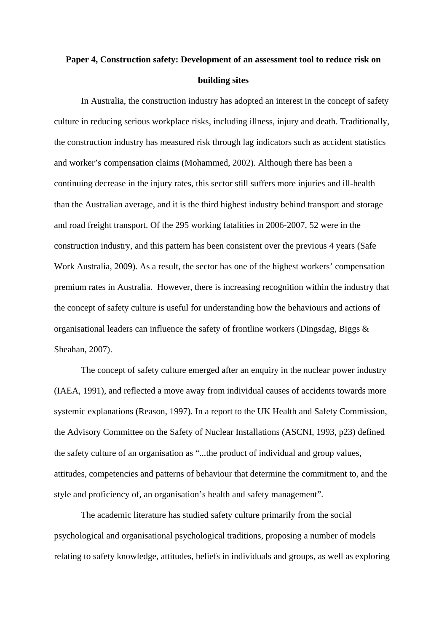# **Paper 4, Construction safety: Development of an assessment tool to reduce risk on building sites**

In Australia, the construction industry has adopted an interest in the concept of safety culture in reducing serious workplace risks, including illness, injury and death. Traditionally, the construction industry has measured risk through lag indicators such as accident statistics and worker's compensation claims (Mohammed, 2002). Although there has been a continuing decrease in the injury rates, this sector still suffers more injuries and ill-health than the Australian average, and it is the third highest industry behind transport and storage and road freight transport. Of the 295 working fatalities in 2006-2007, 52 were in the construction industry, and this pattern has been consistent over the previous 4 years (Safe Work Australia, 2009). As a result, the sector has one of the highest workers' compensation premium rates in Australia. However, there is increasing recognition within the industry that the concept of safety culture is useful for understanding how the behaviours and actions of organisational leaders can influence the safety of frontline workers (Dingsdag, Biggs & Sheahan, 2007).

The concept of safety culture emerged after an enquiry in the nuclear power industry (IAEA, 1991), and reflected a move away from individual causes of accidents towards more systemic explanations (Reason, 1997). In a report to the UK Health and Safety Commission, the Advisory Committee on the Safety of Nuclear Installations (ASCNI, 1993, p23) defined the safety culture of an organisation as "...the product of individual and group values, attitudes, competencies and patterns of behaviour that determine the commitment to, and the style and proficiency of, an organisation's health and safety management".

The academic literature has studied safety culture primarily from the social psychological and organisational psychological traditions, proposing a number of models relating to safety knowledge, attitudes, beliefs in individuals and groups, as well as exploring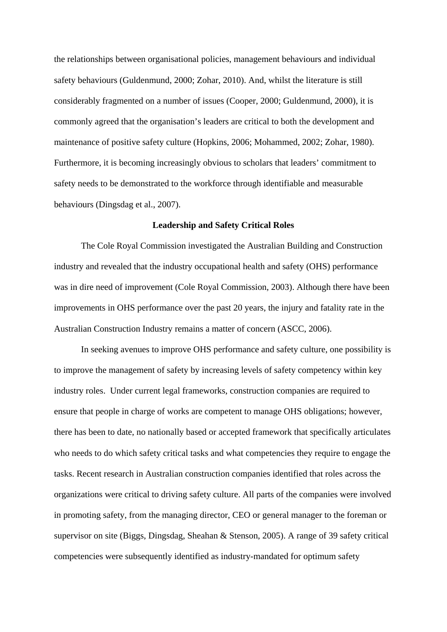the relationships between organisational policies, management behaviours and individual safety behaviours (Guldenmund, 2000; Zohar, 2010). And, whilst the literature is still considerably fragmented on a number of issues (Cooper, 2000; Guldenmund, 2000), it is commonly agreed that the organisation's leaders are critical to both the development and maintenance of positive safety culture (Hopkins, 2006; Mohammed, 2002; Zohar, 1980). Furthermore, it is becoming increasingly obvious to scholars that leaders' commitment to safety needs to be demonstrated to the workforce through identifiable and measurable behaviours (Dingsdag et al., 2007).

#### **Leadership and Safety Critical Roles**

The Cole Royal Commission investigated the Australian Building and Construction industry and revealed that the industry occupational health and safety (OHS) performance was in dire need of improvement (Cole Royal Commission, 2003). Although there have been improvements in OHS performance over the past 20 years, the injury and fatality rate in the Australian Construction Industry remains a matter of concern (ASCC, 2006).

In seeking avenues to improve OHS performance and safety culture, one possibility is to improve the management of safety by increasing levels of safety competency within key industry roles. Under current legal frameworks, construction companies are required to ensure that people in charge of works are competent to manage OHS obligations; however, there has been to date, no nationally based or accepted framework that specifically articulates who needs to do which safety critical tasks and what competencies they require to engage the tasks. Recent research in Australian construction companies identified that roles across the organizations were critical to driving safety culture. All parts of the companies were involved in promoting safety, from the managing director, CEO or general manager to the foreman or supervisor on site (Biggs, Dingsdag, Sheahan & Stenson, 2005). A range of 39 safety critical competencies were subsequently identified as industry-mandated for optimum safety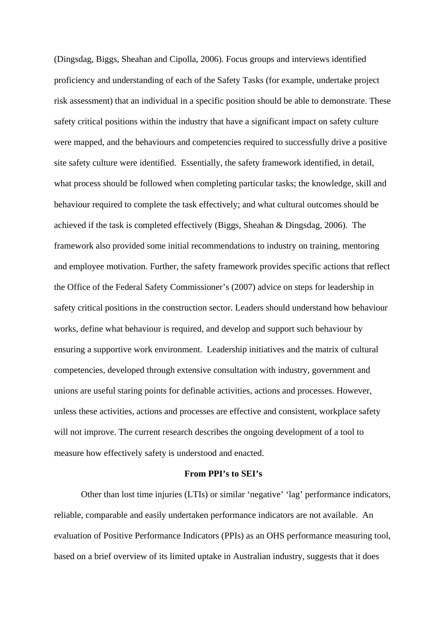(Dingsdag, Biggs, Sheahan and Cipolla, 2006). Focus groups and interviews identified proficiency and understanding of each of the Safety Tasks (for example, undertake project risk assessment) that an individual in a specific position should be able to demonstrate. These safety critical positions within the industry that have a significant impact on safety culture were mapped, and the behaviours and competencies required to successfully drive a positive site safety culture were identified. Essentially, the safety framework identified, in detail, what process should be followed when completing particular tasks; the knowledge, skill and behaviour required to complete the task effectively; and what cultural outcomes should be achieved if the task is completed effectively (Biggs, Sheahan & Dingsdag, 2006). The framework also provided some initial recommendations to industry on training, mentoring and employee motivation. Further, the safety framework provides specific actions that reflect the Office of the Federal Safety Commissioner's (2007) advice on steps for leadership in safety critical positions in the construction sector. Leaders should understand how behaviour works, define what behaviour is required, and develop and support such behaviour by ensuring a supportive work environment. Leadership initiatives and the matrix of cultural competencies, developed through extensive consultation with industry, government and unions are useful staring points for definable activities, actions and processes. However, unless these activities, actions and processes are effective and consistent, workplace safety will not improve. The current research describes the ongoing development of a tool to measure how effectively safety is understood and enacted.

# **From PPI's to SEI's**

Other than lost time injuries (LTIs) or similar 'negative' 'lag' performance indicators, reliable, comparable and easily undertaken performance indicators are not available. An evaluation of Positive Performance Indicators (PPIs) as an OHS performance measuring tool, based on a brief overview of its limited uptake in Australian industry, suggests that it does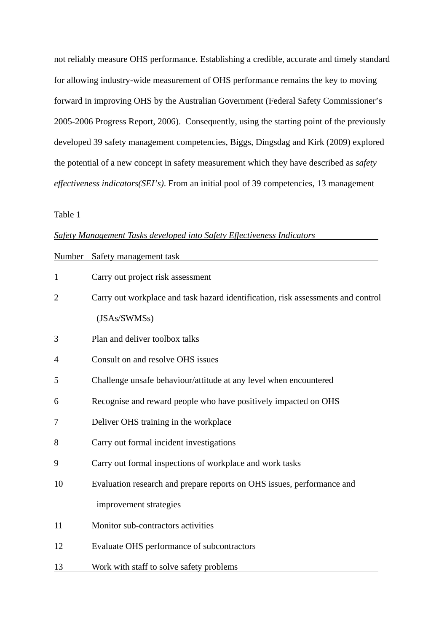not reliably measure OHS performance. Establishing a credible, accurate and timely standard for allowing industry-wide measurement of OHS performance remains the key to moving forward in improving OHS by the Australian Government (Federal Safety Commissioner's 2005-2006 Progress Report, 2006). Consequently, using the starting point of the previously developed 39 safety management competencies, Biggs, Dingsdag and Kirk (2009) explored the potential of a new concept in safety measurement which they have described as *safety effectiveness indicators(SEI's)*. From an initial pool of 39 competencies, 13 management

## Table 1

# *Safety Management Tasks developed into Safety Effectiveness Indicators*

| Number         | Safety management task                                                           |
|----------------|----------------------------------------------------------------------------------|
| $\mathbf{1}$   | Carry out project risk assessment                                                |
| $\overline{2}$ | Carry out workplace and task hazard identification, risk assessments and control |
|                | (JSAs/SWMSs)                                                                     |
| 3              | Plan and deliver toolbox talks                                                   |
| 4              | Consult on and resolve OHS issues                                                |
| 5              | Challenge unsafe behaviour/attitude at any level when encountered                |
| 6              | Recognise and reward people who have positively impacted on OHS                  |
| 7              | Deliver OHS training in the workplace                                            |
| 8              | Carry out formal incident investigations                                         |
| 9              | Carry out formal inspections of workplace and work tasks                         |
| 10             | Evaluation research and prepare reports on OHS issues, performance and           |
|                | improvement strategies                                                           |
| 11             | Monitor sub-contractors activities                                               |
| 12             | Evaluate OHS performance of subcontractors                                       |
| <u>13</u>      | Work with staff to solve safety problems                                         |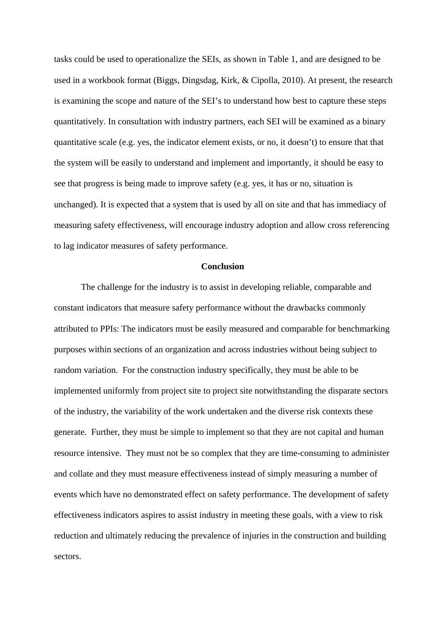tasks could be used to operationalize the SEIs, as shown in Table 1, and are designed to be used in a workbook format (Biggs, Dingsdag, Kirk, & Cipolla, 2010). At present, the research is examining the scope and nature of the SEI's to understand how best to capture these steps quantitatively. In consultation with industry partners, each SEI will be examined as a binary quantitative scale (e.g. yes, the indicator element exists, or no, it doesn't) to ensure that that the system will be easily to understand and implement and importantly, it should be easy to see that progress is being made to improve safety (e.g. yes, it has or no, situation is unchanged). It is expected that a system that is used by all on site and that has immediacy of measuring safety effectiveness, will encourage industry adoption and allow cross referencing to lag indicator measures of safety performance.

# **Conclusion**

The challenge for the industry is to assist in developing reliable, comparable and constant indicators that measure safety performance without the drawbacks commonly attributed to PPIs: The indicators must be easily measured and comparable for benchmarking purposes within sections of an organization and across industries without being subject to random variation. For the construction industry specifically, they must be able to be implemented uniformly from project site to project site notwithstanding the disparate sectors of the industry, the variability of the work undertaken and the diverse risk contexts these generate. Further, they must be simple to implement so that they are not capital and human resource intensive. They must not be so complex that they are time-consuming to administer and collate and they must measure effectiveness instead of simply measuring a number of events which have no demonstrated effect on safety performance. The development of safety effectiveness indicators aspires to assist industry in meeting these goals, with a view to risk reduction and ultimately reducing the prevalence of injuries in the construction and building sectors.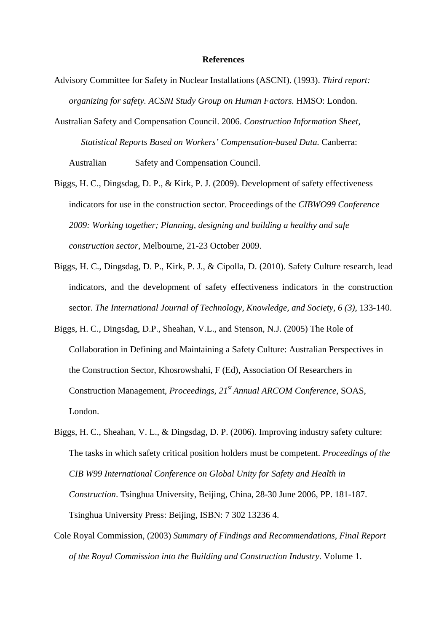#### **References**

- Advisory Committee for Safety in Nuclear Installations (ASCNI). (1993). *Third report: organizing for safety. ACSNI Study Group on Human Factors.* HMSO: London.
- Australian Safety and Compensation Council. 2006. *Construction Information Sheet, Statistical Reports Based on Workers' Compensation-based Data.* Canberra: Australian Safety and Compensation Council.
- Biggs, H. C., Dingsdag, D. P., & Kirk, P. J. (2009). Development of safety effectiveness indicators for use in the construction sector. Proceedings of the *CIBWO99 Conference 2009: Working together; Planning, designing and building a healthy and safe construction sector*, Melbourne, 21-23 October 2009.
- Biggs, H. C., Dingsdag, D. P., Kirk, P. J., & Cipolla, D. (2010). Safety Culture research, lead indicators, and the development of safety effectiveness indicators in the construction sector. *The International Journal of Technology, Knowledge, and Society, 6 (3)*, 133-140.
- Biggs, H. C., Dingsdag, D.P., Sheahan, V.L., and Stenson, N.J. (2005) The Role of Collaboration in Defining and Maintaining a Safety Culture: Australian Perspectives in the Construction Sector, Khosrowshahi, F (Ed), Association Of Researchers in Construction Management, *Proceedings, 21st Annual ARCOM Conference*, SOAS, London.
- Biggs, H. C., Sheahan, V. L., & Dingsdag, D. P. (2006). Improving industry safety culture: The tasks in which safety critical position holders must be competent. *Proceedings of the CIB W99 International Conference on Global Unity for Safety and Health in Construction*. Tsinghua University, Beijing, China, 28-30 June 2006, PP. 181-187. Tsinghua University Press: Beijing, ISBN: 7 302 13236 4.
- Cole Royal Commission, (2003) *Summary of Findings and Recommendations, Final Report of the Royal Commission into the Building and Construction Industry.* Volume 1.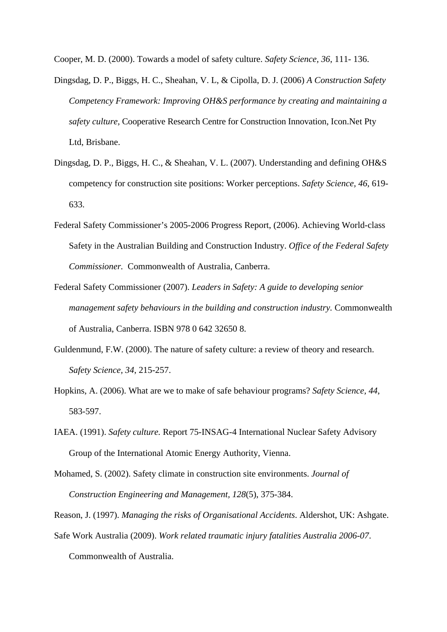Cooper, M. D. (2000). Towards a model of safety culture. *Safety Science, 36*, 111- 136.

- Dingsdag, D. P., Biggs, H. C., Sheahan, V. L, & Cipolla, D. J. (2006) *A Construction Safety Competency Framework: Improving OH&S performance by creating and maintaining a safety culture,* Cooperative Research Centre for Construction Innovation, Icon.Net Pty Ltd, Brisbane.
- Dingsdag, D. P., Biggs, H. C., & Sheahan, V. L. (2007). Understanding and defining OH&S competency for construction site positions: Worker perceptions. *Safety Science, 46*, 619- 633.
- Federal Safety Commissioner's 2005-2006 Progress Report, (2006). Achieving World-class Safety in the Australian Building and Construction Industry. *Office of the Federal Safety Commissioner.* Commonwealth of Australia, Canberra.
- Federal Safety Commissioner (2007). *Leaders in Safety: A guide to developing senior management safety behaviours in the building and construction industry.* Commonwealth of Australia, Canberra. ISBN 978 0 642 32650 8.
- Guldenmund, F.W. (2000). The nature of safety culture: a review of theory and research. *Safety Science, 34*, 215-257.
- Hopkins, A. (2006). What are we to make of safe behaviour programs? *Safety Science, 44*, 583-597.
- IAEA. (1991). *Safety culture.* Report 75-INSAG-4 International Nuclear Safety Advisory Group of the International Atomic Energy Authority, Vienna.
- Mohamed, S. (2002). Safety climate in construction site environments. *Journal of Construction Engineering and Management, 128*(5), 375-384.
- Reason, J. (1997). *Managing the risks of Organisational Accidents*. Aldershot, UK: Ashgate.
- Safe Work Australia (2009). *Work related traumatic injury fatalities Australia 2006-07*. Commonwealth of Australia.